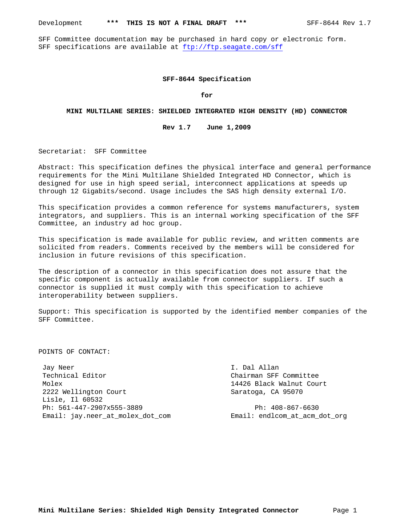SFF Committee documentation may be purchased in hard copy or electronic form. SFF specifications are available at ftp://ftp.seagate.com/sff

#### **SFF-8644 Specification**

**for**

#### **MINI MULTILANE SERIES: SHIELDED INTEGRATED HIGH DENSITY (HD) CONNECTOR**

## **Rev 1.7 June 1,2009**

Secretariat: SFF Committee

Abstract: This specification defines the physical interface and general performance requirements for the Mini Multilane Shielded Integrated HD Connector, which is designed for use in high speed serial, interconnect applications at speeds up through 12 Gigabits/second. Usage includes the SAS high density external I/O.

This specification provides a common reference for systems manufacturers, system integrators, and suppliers. This is an internal working specification of the SFF Committee, an industry ad hoc group.

This specification is made available for public review, and written comments are solicited from readers. Comments received by the members will be considered for inclusion in future revisions of this specification.

The description of a connector in this specification does not assure that the specific component is actually available from connector suppliers. If such a connector is supplied it must comply with this specification to achieve interoperability between suppliers.

Support: This specification is supported by the identified member companies of the SFF Committee.

POINTS OF CONTACT:

Jay Neer **I.** Dal Allan Technical Editor **Chairman SFF Committee**  Molex 14426 Black Walnut Court 2222 Wellington Court Saratoga, CA 95070 Lisle, Il 60532 Ph: 561-447-2907x555-3889 Ph: 408-867-6630 Email: jay.neer\_at\_molex\_dot\_com Email: endlcom\_at\_acm\_dot\_org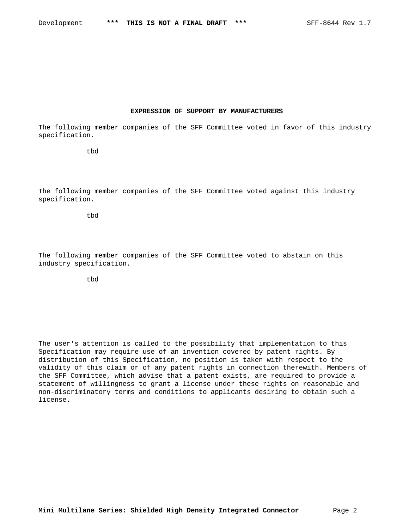#### **EXPRESSION OF SUPPORT BY MANUFACTURERS**

The following member companies of the SFF Committee voted in favor of this industry specification.

tbd

The following member companies of the SFF Committee voted against this industry specification.

tbd

The following member companies of the SFF Committee voted to abstain on this industry specification.

tbd

The user's attention is called to the possibility that implementation to this Specification may require use of an invention covered by patent rights. By distribution of this Specification, no position is taken with respect to the validity of this claim or of any patent rights in connection therewith. Members of the SFF Committee, which advise that a patent exists, are required to provide a statement of willingness to grant a license under these rights on reasonable and non-discriminatory terms and conditions to applicants desiring to obtain such a license.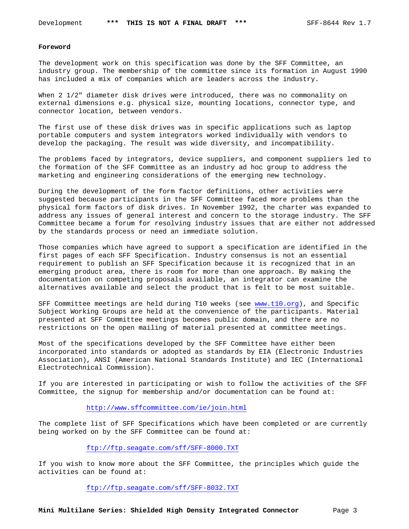#### **Foreword**

The development work on this specification was done by the SFF Committee, an industry group. The membership of the committee since its formation in August 1990 has included a mix of companies which are leaders across the industry.

When 2 1/2" diameter disk drives were introduced, there was no commonality on external dimensions e.g. physical size, mounting locations, connector type, and connector location, between vendors.

The first use of these disk drives was in specific applications such as laptop portable computers and system integrators worked individually with vendors to develop the packaging. The result was wide diversity, and incompatibility.

The problems faced by integrators, device suppliers, and component suppliers led to the formation of the SFF Committee as an industry ad hoc group to address the marketing and engineering considerations of the emerging new technology.

During the development of the form factor definitions, other activities were suggested because participants in the SFF Committee faced more problems than the physical form factors of disk drives. In November 1992, the charter was expanded to address any issues of general interest and concern to the storage industry. The SFF Committee became a forum for resolving industry issues that are either not addressed by the standards process or need an immediate solution.

Those companies which have agreed to support a specification are identified in the first pages of each SFF Specification. Industry consensus is not an essential requirement to publish an SFF Specification because it is recognized that in an emerging product area, there is room for more than one approach. By making the documentation on competing proposals available, an integrator can examine the alternatives available and select the product that is felt to be most suitable.

SFF Committee meetings are held during T10 weeks (see www.t10.org), and Specific Subject Working Groups are held at the convenience of the participants. Material presented at SFF Committee meetings becomes public domain, and there are no restrictions on the open mailing of material presented at committee meetings.

Most of the specifications developed by the SFF Committee have either been incorporated into standards or adopted as standards by EIA (Electronic Industries Association), ANSI (American National Standards Institute) and IEC (International Electrotechnical Commission).

If you are interested in participating or wish to follow the activities of the SFF Committee, the signup for membership and/or documentation can be found at:

## http://www.sffcommittee.com/ie/join.html

The complete list of SFF Specifications which have been completed or are currently being worked on by the SFF Committee can be found at:

#### ftp://ftp.seagate.com/sff/SFF-8000.TXT

If you wish to know more about the SFF Committee, the principles which guide the activities can be found at:

ftp://ftp.seagate.com/sff/SFF-8032.TXT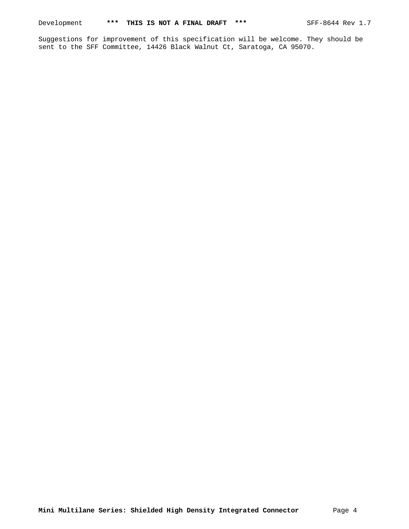Suggestions for improvement of this specification will be welcome. They should be sent to the SFF Committee, 14426 Black Walnut Ct, Saratoga, CA 95070.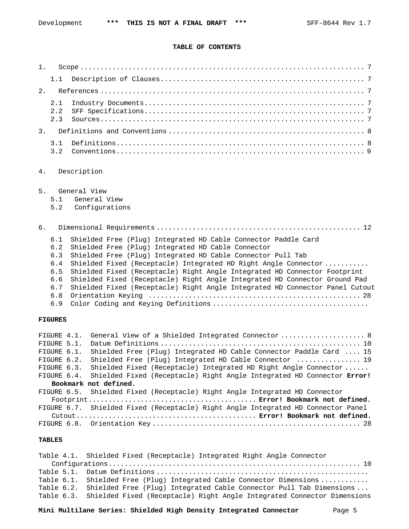#### **TABLE OF CONTENTS**

| 1.             |                                                             |                                                                                                                                                                                                                                                                                                                                                                                                                                                                                                   |
|----------------|-------------------------------------------------------------|---------------------------------------------------------------------------------------------------------------------------------------------------------------------------------------------------------------------------------------------------------------------------------------------------------------------------------------------------------------------------------------------------------------------------------------------------------------------------------------------------|
|                | 1.1                                                         |                                                                                                                                                                                                                                                                                                                                                                                                                                                                                                   |
| 2.             |                                                             |                                                                                                                                                                                                                                                                                                                                                                                                                                                                                                   |
|                | 2.1<br>2.2<br>2.3                                           |                                                                                                                                                                                                                                                                                                                                                                                                                                                                                                   |
| 3.             |                                                             |                                                                                                                                                                                                                                                                                                                                                                                                                                                                                                   |
|                | 3.1<br>3.2                                                  |                                                                                                                                                                                                                                                                                                                                                                                                                                                                                                   |
| 4.             |                                                             | Description                                                                                                                                                                                                                                                                                                                                                                                                                                                                                       |
| 5.             | 5.1<br>5.2                                                  | General View<br>General View<br>Configurations                                                                                                                                                                                                                                                                                                                                                                                                                                                    |
| 6 <sub>1</sub> |                                                             |                                                                                                                                                                                                                                                                                                                                                                                                                                                                                                   |
|                | 6.1<br>6.2<br>6.3<br>6.4<br>6.5<br>6.6<br>6.7<br>6.8<br>6.9 | Shielded Free (Plug) Integrated HD Cable Connector Paddle Card<br>Shielded Free (Plug) Integrated HD Cable Connector<br>Shielded Free (Plug) Integrated HD Cable Connector Pull Tab<br>Shielded Fixed (Receptacle) Integrated HD Right Angle Connector<br>Shielded Fixed (Receptacle) Right Angle Integrated HD Connector Footprint<br>Shielded Fixed (Receptacle) Right Angle Integrated HD Connector Ground Pad<br>Shielded Fixed (Receptacle) Right Angle Integrated HD Connector Panel Cutout |
|                | <b>FIGURES</b>                                              |                                                                                                                                                                                                                                                                                                                                                                                                                                                                                                   |

| FIGURE 4.1. | General View of a Shielded Integrated Connector  8                                |
|-------------|-----------------------------------------------------------------------------------|
| FIGURE 5.1. |                                                                                   |
| FIGURE 6.1. | Shielded Free (Plug) Integrated HD Cable Connector Paddle Card  15                |
| FIGURE 6.2. | Shielded Free (Plug) Integrated HD Cable Connector  19                            |
| FIGURE 6.3. | Shielded Fixed (Receptacle) Integrated HD Right Angle Connector                   |
| FIGURE 6.4. | Shielded Fixed (Receptacle) Right Angle Integrated HD Connector Error!            |
|             | Bookmark not defined.                                                             |
|             | FIGURE 6.5. Shielded Fixed (Receptacle) Right Angle Integrated HD Connector       |
|             |                                                                                   |
|             | FIGURE 6.7. Shielded Fixed (Receptacle) Right Angle Integrated HD Connector Panel |
|             |                                                                                   |
|             |                                                                                   |

## **TABLES**

Table 4.1. Shielded Fixed (Receptacle) Integrated Right Angle Connector Configurations............................................................... 10 Table 5.1. Datum Definitions ..................................................... Table 6.1. Shielded Free (Plug) Integrated Cable Connector Dimensions ........... Table 6.2. Shielded Free (Plug) Integrated Cable Connector Pull Tab Dimensions ... Table 6.3. Shielded Fixed (Receptacle) Right Angle Integrated Connector Dimensions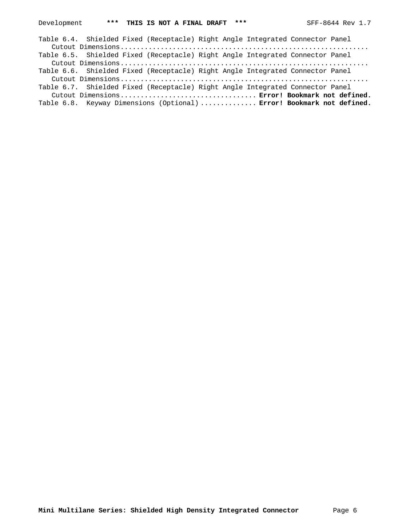| Table 6.4. Shielded Fixed (Receptacle) Right Angle Integrated Connector Panel |  |
|-------------------------------------------------------------------------------|--|
|                                                                               |  |
| Table 6.5. Shielded Fixed (Receptacle) Right Angle Integrated Connector Panel |  |
|                                                                               |  |
| Table 6.6. Shielded Fixed (Receptacle) Right Angle Integrated Connector Panel |  |
|                                                                               |  |
| Table 6.7. Shielded Fixed (Receptacle) Right Angle Integrated Connector Panel |  |
| Cutout Dimensions Error! Bookmark not defined.                                |  |
| Table 6.8. Keyway Dimensions (Optional)  Error! Bookmark not defined.         |  |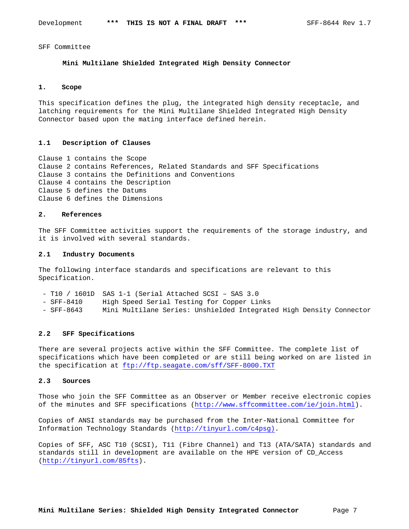SFF Committee

### **Mini Multilane Shielded Integrated High Density Connector**

## **1. Scope**

This specification defines the plug, the integrated high density receptacle, and latching requirements for the Mini Multilane Shielded Integrated High Density Connector based upon the mating interface defined herein.

#### **1.1 Description of Clauses**

Clause 1 contains the Scope Clause 2 contains References, Related Standards and SFF Specifications Clause 3 contains the Definitions and Conventions Clause 4 contains the Description Clause 5 defines the Datums Clause 6 defines the Dimensions

#### **2. References**

The SFF Committee activities support the requirements of the storage industry, and it is involved with several standards.

#### **2.1 Industry Documents**

The following interface standards and specifications are relevant to this Specification.

- T10 / 1601D SAS 1-1 (Serial Attached SCSI SAS 3.0
- SFF-8410 High Speed Serial Testing for Copper Links
- SFF-8643 Mini Multilane Series: Unshielded Integrated High Density Connector

## **2.2 SFF Specifications**

There are several projects active within the SFF Committee. The complete list of specifications which have been completed or are still being worked on are listed in the specification at ftp://ftp.seagate.com/sff/SFF-8000.TXT

## **2.3 Sources**

Those who join the SFF Committee as an Observer or Member receive electronic copies of the minutes and SFF specifications (http://www.sffcommittee.com/ie/join.html).

Copies of ANSI standards may be purchased from the Inter-National Committee for Information Technology Standards (http://tinyurl.com/c4psg).

Copies of SFF, ASC T10 (SCSI), T11 (Fibre Channel) and T13 (ATA/SATA) standards and standards still in development are available on the HPE version of CD\_Access (http://tinyurl.com/85fts).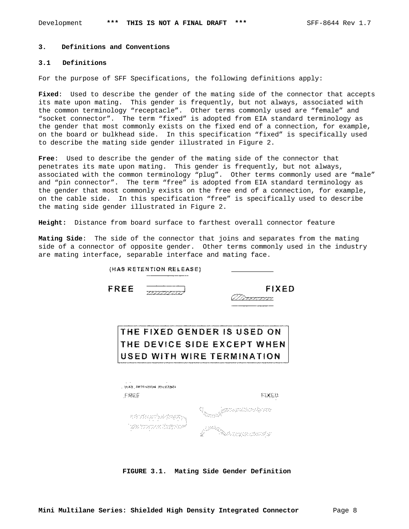#### **3. Definitions and Conventions**

### **3.1 Definitions**

For the purpose of SFF Specifications, the following definitions apply:

**Fixed**: Used to describe the gender of the mating side of the connector that accepts its mate upon mating. This gender is frequently, but not always, associated with the common terminology "receptacle". Other terms commonly used are "female" and "socket connector". The term "fixed" is adopted from EIA standard terminology as the gender that most commonly exists on the fixed end of a connection, for example, on the board or bulkhead side. In this specification "fixed" is specifically used to describe the mating side gender illustrated in Figure 2.

**Free**: Used to describe the gender of the mating side of the connector that penetrates its mate upon mating. This gender is frequently, but not always, associated with the common terminology "plug". Other terms commonly used are "male" and "pin connector". The term "free" is adopted from EIA standard terminology as the gender that most commonly exists on the free end of a connection, for example, on the cable side. In this specification "free" is specifically used to describe the mating side gender illustrated in Figure 2.

**Height:** Distance from board surface to farthest overall connector feature

**Mating Side**: The side of the connector that joins and separates from the mating side of a connector of opposite gender. Other terms commonly used in the industry are mating interface, separable interface and mating face.

| FREE                       |                           | FIXED                       |
|----------------------------|---------------------------|-----------------------------|
|                            |                           | THE FIXED GENDER IS USED ON |
|                            |                           | THE DEVICE SIDE EXCEPT WHEN |
| USED WITH WIRE TERMINATION |                           |                             |
|                            |                           |                             |
|                            |                           |                             |
|                            | , PARE LETTERING NICOLARE |                             |
| 子波波氏                       |                           | 科区意志                        |
|                            | 전화 대학교의 있습니다              |                             |

**FIGURE 3.1. Mating Side Gender Definition**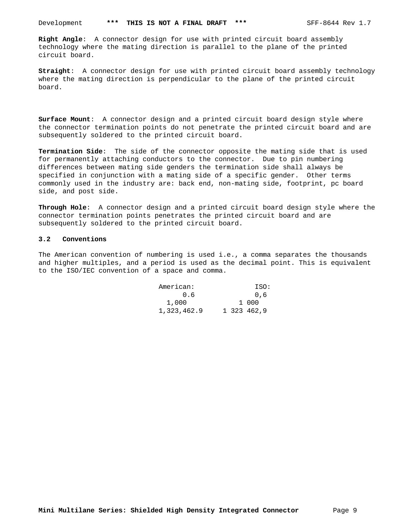**Right Angle**: A connector design for use with printed circuit board assembly technology where the mating direction is parallel to the plane of the printed circuit board.

**Straight**: A connector design for use with printed circuit board assembly technology where the mating direction is perpendicular to the plane of the printed circuit board.

**Surface Mount**: A connector design and a printed circuit board design style where the connector termination points do not penetrate the printed circuit board and are subsequently soldered to the printed circuit board.

**Termination Side**: The side of the connector opposite the mating side that is used for permanently attaching conductors to the connector. Due to pin numbering differences between mating side genders the termination side shall always be specified in conjunction with a mating side of a specific gender. Other terms commonly used in the industry are: back end, non-mating side, footprint, pc board side, and post side.

**Through Hole**: A connector design and a printed circuit board design style where the connector termination points penetrates the printed circuit board and are subsequently soldered to the printed circuit board.

#### **3.2 Conventions**

The American convention of numbering is used i.e., a comma separates the thousands and higher multiples, and a period is used as the decimal point. This is equivalent to the ISO/IEC convention of a space and comma.

| American:   |  | ISO:        |
|-------------|--|-------------|
| 0.6         |  | 0.6         |
| 1,000       |  | 1 000       |
| 1,323,462.9 |  | 1 323 462.9 |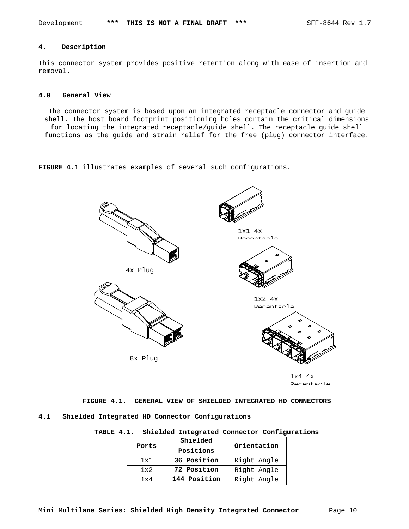## **4. Description**

This connector system provides positive retention along with ease of insertion and removal.

### **4.0 General View**

The connector system is based upon an integrated receptacle connector and guide shell. The host board footprint positioning holes contain the critical dimensions for locating the integrated receptacle/guide shell. The receptacle guide shell functions as the guide and strain relief for the free (plug) connector interface.

**FIGURE 4.1** illustrates examples of several such configurations.



1x4 4x Receptacle

**FIGURE 4.1. GENERAL VIEW OF SHIELDED INTEGRATED HD CONNECTORS 4.1 Shielded Integrated HD Connector Configurations**

# **TABLE 4.1. Shielded Integrated Connector Configurations**

| Ports        | Shielded     | Orientation |
|--------------|--------------|-------------|
|              | Positions    |             |
| 1x1          | 36 Position  | Right Angle |
| $1 \times 2$ | 72 Position  | Right Angle |
| 1 v 4        | 144 Position | Right Angle |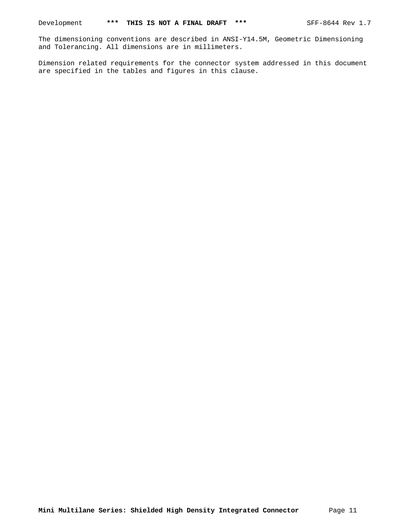The dimensioning conventions are described in ANSI-Y14.5M, Geometric Dimensioning and Tolerancing. All dimensions are in millimeters.

Dimension related requirements for the connector system addressed in this document are specified in the tables and figures in this clause.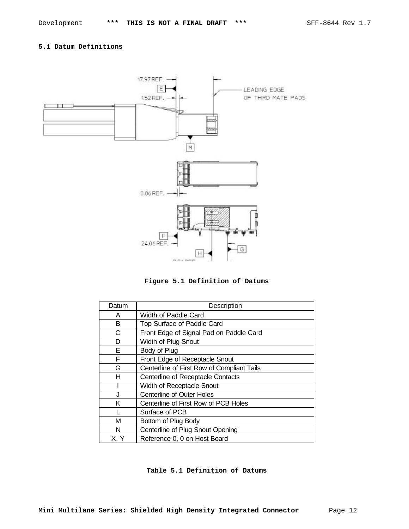## **5.1 Datum Definitions**





| Datum | Description                                |
|-------|--------------------------------------------|
| A     | Width of Paddle Card                       |
| в     | Top Surface of Paddle Card                 |
| C     | Front Edge of Signal Pad on Paddle Card    |
| D     | Width of Plug Snout                        |
| E     | Body of Plug                               |
| F     | Front Edge of Receptacle Snout             |
| G     | Centerline of First Row of Compliant Tails |
| н     | Centerline of Receptacle Contacts          |
|       | Width of Receptacle Snout                  |
| J     | <b>Centerline of Outer Holes</b>           |
| Κ     | Centerline of First Row of PCB Holes       |
|       | Surface of PCB                             |
| M     | Bottom of Plug Body                        |
| N     | Centerline of Plug Snout Opening           |
| X, Y  | Reference 0, 0 on Host Board               |

**Table 5.1 Definition of Datums**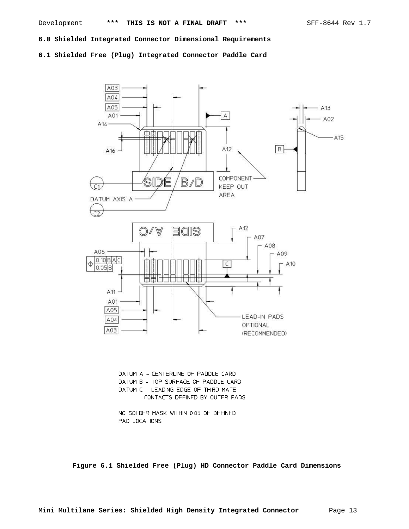**6.0 Shielded Integrated Connector Dimensional Requirements**

**6.1 Shielded Free (Plug) Integrated Connector Paddle Card**



DATUM A - CENTERLINE OF PADDLE CARD DATUM B - TOP SURFACE OF PADDLE CARD DATUM C - LEADING EDGE OF THIRD MATE CONTACTS DEFINED BY OUTER PADS

NO SOLDER MASK WITHIN 005 OF DEFINED PAD LOCATIONS

**Figure 6.1 Shielded Free (Plug) HD Connector Paddle Card Dimensions**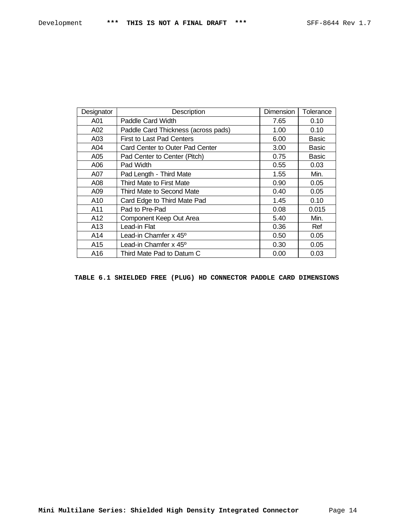| Designator      | Description                         | Dimension | Tolerance    |
|-----------------|-------------------------------------|-----------|--------------|
| A01             | Paddle Card Width                   | 7.65      | 0.10         |
| A02             | Paddle Card Thickness (across pads) | 1.00      | 0.10         |
| A03             | First to Last Pad Centers           | 6.00      | Basic        |
| A04             | Card Center to Outer Pad Center     | 3.00      | <b>Basic</b> |
| A05             | Pad Center to Center (Pitch)        | 0.75      | <b>Basic</b> |
| A06             | Pad Width                           | 0.55      | 0.03         |
| A07             | Pad Length - Third Mate             | 1.55      | Min.         |
| A08             | Third Mate to First Mate            | 0.90      | 0.05         |
| A09             | Third Mate to Second Mate           | 0.40      | 0.05         |
| A10             | Card Edge to Third Mate Pad         | 1.45      | 0.10         |
| A11             | Pad to Pre-Pad                      | 0.08      | 0.015        |
| A12             | Component Keep Out Area             | 5.40      | Min.         |
| A <sub>13</sub> | Lead-in Flat                        | 0.36      | Ref          |
| A14             | Lead-in Chamfer x 45°               | 0.50      | 0.05         |
| A15             | Lead-in Chamfer x 45°               | 0.30      | 0.05         |
| A16             | Third Mate Pad to Datum C           | 0.00      | 0.03         |

**TABLE 6.1 SHIELDED FREE (PLUG) HD CONNECTOR PADDLE CARD DIMENSIONS**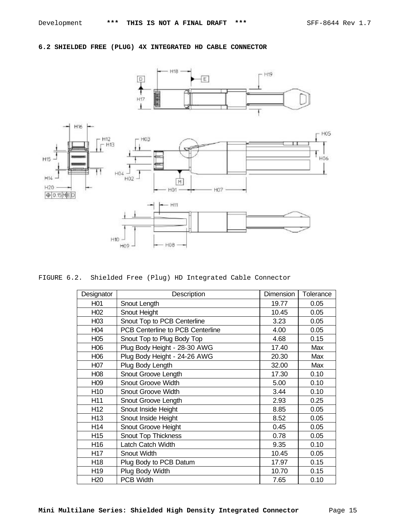# **6.2 SHIELDED FREE (PLUG) 4X INTEGRATED HD CABLE CONNECTOR**



FIGURE 6.2. Shielded Free (Plug) HD Integrated Cable Connector

| Designator       | Description                      | Dimension | Tolerance |
|------------------|----------------------------------|-----------|-----------|
| H <sub>01</sub>  | Snout Length                     | 19.77     | 0.05      |
| H <sub>02</sub>  | Snout Height                     | 10.45     | 0.05      |
| H <sub>03</sub>  | Snout Top to PCB Centerline      | 3.23      | 0.05      |
| H <sub>04</sub>  | PCB Centerline to PCB Centerline | 4.00      | 0.05      |
| H <sub>05</sub>  | Snout Top to Plug Body Top       | 4.68      | 0.15      |
| H <sub>06</sub>  | Plug Body Height - 28-30 AWG     | 17.40     | Max       |
| H06              | Plug Body Height - 24-26 AWG     | 20.30     | Max       |
| H <sub>0</sub> 7 | Plug Body Length                 | 32.00     | Max       |
| H08              | Snout Groove Length              | 17.30     | 0.10      |
| H <sub>09</sub>  | Snout Groove Width               | 5.00      | 0.10      |
| H <sub>10</sub>  | <b>Snout Groove Width</b>        | 3.44      | 0.10      |
| H11              | Snout Groove Length              | 2.93      | 0.25      |
| H <sub>12</sub>  | Snout Inside Height              | 8.85      | 0.05      |
| H <sub>13</sub>  | Snout Inside Height              | 8.52      | 0.05      |
| H14              | Snout Groove Height              | 0.45      | 0.05      |
| H <sub>15</sub>  | <b>Snout Top Thickness</b>       | 0.78      | 0.05      |
| H <sub>16</sub>  | Latch Catch Width                | 9.35      | 0.10      |
| H <sub>17</sub>  | Snout Width                      | 10.45     | 0.05      |
| H <sub>18</sub>  | Plug Body to PCB Datum           | 17.97     | 0.15      |
| H <sub>19</sub>  | Plug Body Width                  | 10.70     | 0.15      |
| H <sub>20</sub>  | <b>PCB Width</b>                 | 7.65      | 0.10      |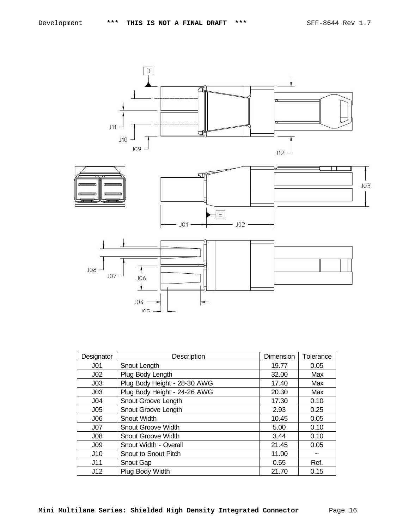

| Designator      | Description                  | Dimension | Tolerance  |
|-----------------|------------------------------|-----------|------------|
| J <sub>01</sub> | Snout Length                 | 19.77     | 0.05       |
| J <sub>02</sub> | Plug Body Length             | 32.00     | Max        |
| J <sub>03</sub> | Plug Body Height - 28-30 AWG | 17.40     | Max        |
| J <sub>03</sub> | Plug Body Height - 24-26 AWG | 20.30     | Max        |
| J <sub>04</sub> | Snout Groove Length          | 17.30     | 0.10       |
| J <sub>05</sub> | Snout Groove Length          | 2.93      | 0.25       |
| J06             | Snout Width                  | 10.45     | 0.05       |
| J07             | <b>Snout Groove Width</b>    | 5.00      | 0.10       |
| J <sub>08</sub> | <b>Snout Groove Width</b>    | 3.44      | 0.10       |
| J <sub>09</sub> | Snout Width - Overall        | 21.45     | 0.05       |
| J10             | Snout to Snout Pitch         | 11.00     | $\tilde{}$ |
| J11             | Snout Gap                    | 0.55      | Ref.       |
| J12             | Plug Body Width              | 21.70     | 0.15       |

**Mini Multilane Series: Shielded High Density Integrated Connector** Page 16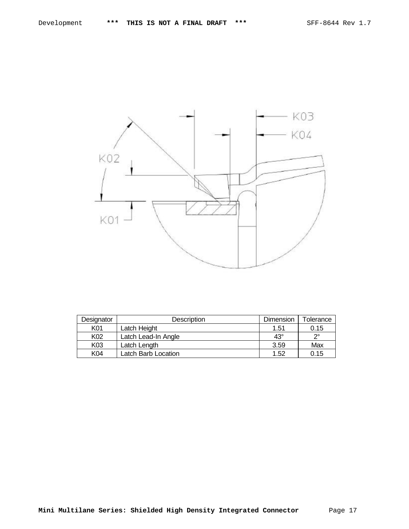

| Designator<br><b>Description</b> |                     | <b>Dimension</b> | Tolerance |
|----------------------------------|---------------------|------------------|-----------|
| K01                              | Latch Height        | 1.51             | 0.15      |
| K <sub>02</sub>                  | Latch Lead-In Angle | $43^\circ$       | റം        |
| K03                              | Latch Length        | 3.59             | Max       |
| K04                              | Latch Barb Location | 1.52             | 0.15      |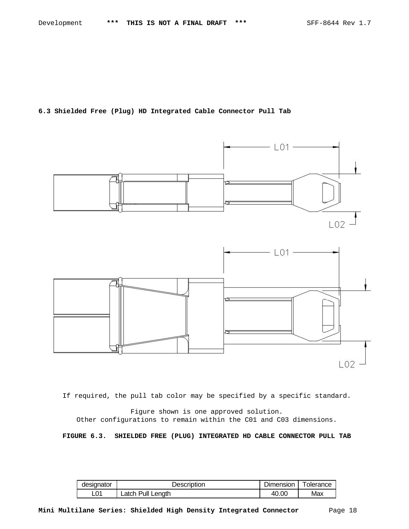**6.3 Shielded Free (Plug) HD Integrated Cable Connector Pull Tab**



If required, the pull tab color may be specified by a specific standard.

Figure shown is one approved solution. Other configurations to remain within the C01 and C03 dimensions.

**FIGURE 6.3. SHIELDED FREE (PLUG) INTEGRATED HD CABLE CONNECTOR PULL TAB**

| designator | Description       | Dimension | Tolerance |
|------------|-------------------|-----------|-----------|
| L01        | Latch Pull Length | 40.00     | Max       |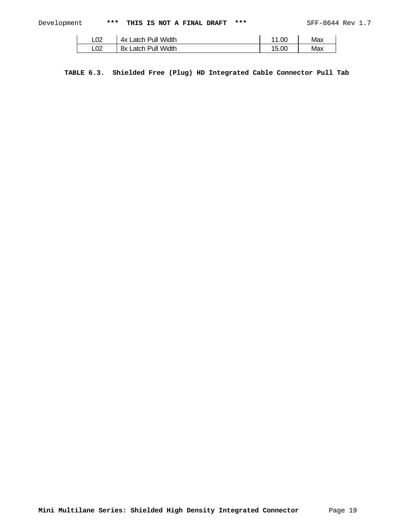| L02 | 4x Latch Pull Width | 1.00<br>44 | Max |
|-----|---------------------|------------|-----|
| L02 | 8x Latch Pull Width | 15.00      | Max |

**TABLE 6.3. Shielded Free (Plug) HD Integrated Cable Connector Pull Tab**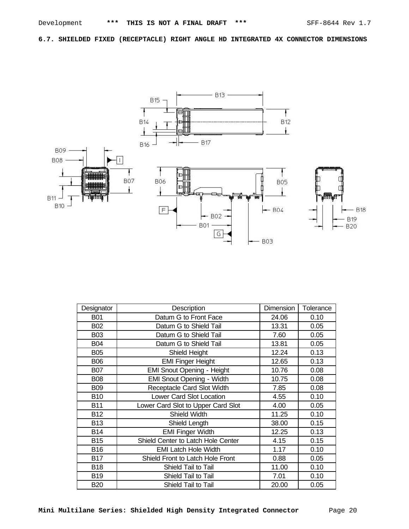**6.7. SHIELDED FIXED (RECEPTACLE) RIGHT ANGLE HD INTEGRATED 4X CONNECTOR DIMENSIONS**



| Designator | Description                        | Dimension | Tolerance |
|------------|------------------------------------|-----------|-----------|
| <b>B01</b> | Datum G to Front Face              | 24.06     | 0.10      |
| <b>B02</b> | Datum G to Shield Tail             | 13.31     | 0.05      |
| <b>B03</b> | Datum G to Shield Tail             | 7.60      | 0.05      |
| <b>B04</b> | Datum G to Shield Tail             | 13.81     | 0.05      |
| <b>B05</b> | Shield Height                      | 12.24     | 0.13      |
| <b>B06</b> | <b>EMI Finger Height</b>           | 12.65     | 0.13      |
| <b>B07</b> | <b>EMI Snout Opening - Height</b>  | 10.76     | 0.08      |
| <b>B08</b> | <b>EMI Snout Opening - Width</b>   | 10.75     | 0.08      |
| <b>B09</b> | Receptacle Card Slot Width         | 7.85      | 0.08      |
| <b>B10</b> | Lower Card Slot Location           | 4.55      | 0.10      |
| <b>B11</b> | Lower Card Slot to Upper Card Slot | 4.00      | 0.05      |
| <b>B12</b> | Shield Width                       | 11.25     | 0.10      |
| <b>B13</b> | Shield Length                      | 38.00     | 0.15      |
| <b>B14</b> | <b>EMI Finger Width</b>            | 12.25     | 0.13      |
| <b>B15</b> | Shield Center to Latch Hole Center | 4.15      | 0.15      |
| <b>B16</b> | <b>EMI Latch Hole Width</b>        | 1.17      | 0.10      |
| <b>B17</b> | Shield Front to Latch Hole Front   | 0.88      | 0.05      |
| <b>B18</b> | Shield Tail to Tail                | 11.00     | 0.10      |
| <b>B19</b> | Shield Tail to Tail                | 7.01      | 0.10      |
| <b>B20</b> | Shield Tail to Tail                | 20.00     | 0.05      |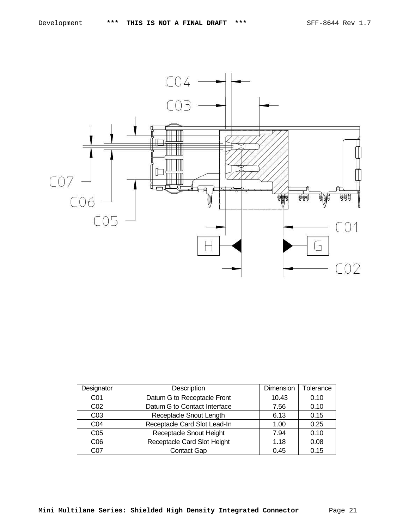

| Designator      | Description                  | Dimension | Tolerance |
|-----------------|------------------------------|-----------|-----------|
| CO <sub>1</sub> | Datum G to Receptacle Front  | 10.43     | 0.10      |
| CO <sub>2</sub> | Datum G to Contact Interface | 7.56      | 0.10      |
| CO <sub>3</sub> | Receptacle Snout Length      | 6.13      | 0.15      |
| CO <sub>4</sub> | Receptacle Card Slot Lead-In | 1.00      | 0.25      |
| C <sub>05</sub> | Receptacle Snout Height      | 7.94      | 0.10      |
| C <sub>06</sub> | Receptacle Card Slot Height  | 1.18      | 0.08      |
| C07             | <b>Contact Gap</b>           | 0.45      | 0.15      |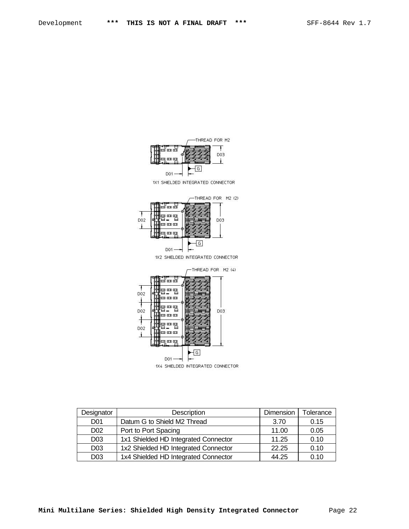



THREAD FOR M2 (4) **Ford** 智聖智 D02 un an an  $\ddagger$ 智严智 D02 DO3 m m m geg D02 **un an an** դապ  $\lceil G \rceil$  $DO1 -$ 1X4 SHIELDED INTEGRATED CONNECTOR

-4

f

J.

| Designator      | Description                          | Dimension | Tolerance |
|-----------------|--------------------------------------|-----------|-----------|
| D <sub>01</sub> | Datum G to Shield M2 Thread          | 3.70      | 0.15      |
| D <sub>02</sub> | Port to Port Spacing                 | 11.00     | 0.05      |
| D <sub>03</sub> | 1x1 Shielded HD Integrated Connector | 11.25     | 0.10      |
| D <sub>03</sub> | 1x2 Shielded HD Integrated Connector | 22.25     | 0.10      |
| D <sub>03</sub> | 1x4 Shielded HD Integrated Connector | 44.25     | 0.10      |

**Mini Multilane Series: Shielded High Density Integrated Connector** Page 22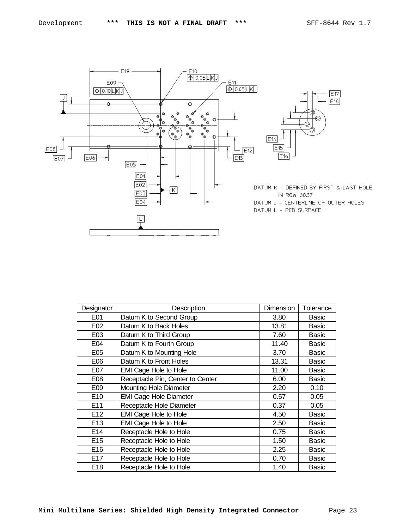

| Designator      | Description                      | Dimension | Tolerance    |
|-----------------|----------------------------------|-----------|--------------|
| E01             | Datum K to Second Group          | 3.80      | Basic        |
| E02             | Datum K to Back Holes            | 13.81     | Basic        |
| E03             | Datum K to Third Group           | 7.60      | Basic        |
| E04             | Datum K to Fourth Group          | 11.40     | <b>Basic</b> |
| E05             | Datum K to Mounting Hole         | 3.70      | <b>Basic</b> |
| E06             | Datum K to Front Holes           | 13.31     | <b>Basic</b> |
| E07             | <b>EMI Cage Hole to Hole</b>     | 11.00     | <b>Basic</b> |
| E08             | Receptacle Pin, Center to Center | 6.00      | <b>Basic</b> |
| E09             | <b>Mounting Hole Diameter</b>    | 2.20      | 0.10         |
| E10             | <b>EMI Cage Hole Diameter</b>    | 0.57      | 0.05         |
| E11             | Receptacle Hole Diameter         | 0.37      | 0.05         |
| E <sub>12</sub> | <b>EMI Cage Hole to Hole</b>     | 4.50      | Basic        |
| E <sub>13</sub> | EMI Cage Hole to Hole            | 2.50      | Basic        |
| E14             | Receptacle Hole to Hole          | 0.75      | <b>Basic</b> |
| E <sub>15</sub> | Receptacle Hole to Hole          | 1.50      | <b>Basic</b> |
| E <sub>16</sub> | Receptacle Hole to Hole          | 2.25      | <b>Basic</b> |
| E17             | Receptacle Hole to Hole          | 0.70      | <b>Basic</b> |
| E <sub>18</sub> | Receptacle Hole to Hole          | 1.40      | <b>Basic</b> |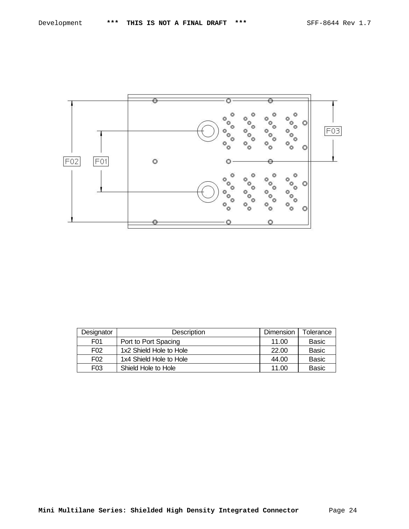

| Designator       | <b>Description</b>      | Dimension | Tolerance    |
|------------------|-------------------------|-----------|--------------|
| F <sub>0</sub> 1 | Port to Port Spacing    | 11.00     | <b>Basic</b> |
| F <sub>02</sub>  | 1x2 Shield Hole to Hole | 22.00     | <b>Basic</b> |
| F <sub>02</sub>  | 1x4 Shield Hole to Hole | 44.00     | <b>Basic</b> |
| F03              | Shield Hole to Hole     | 11.00     | Basic        |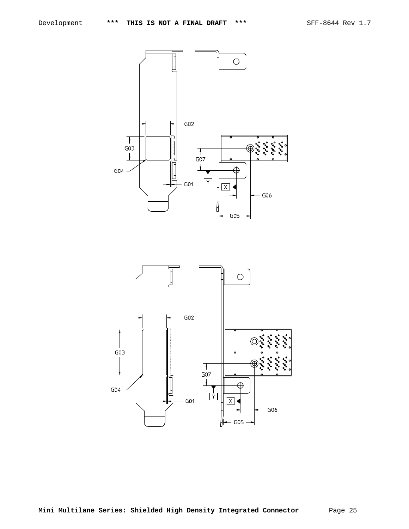

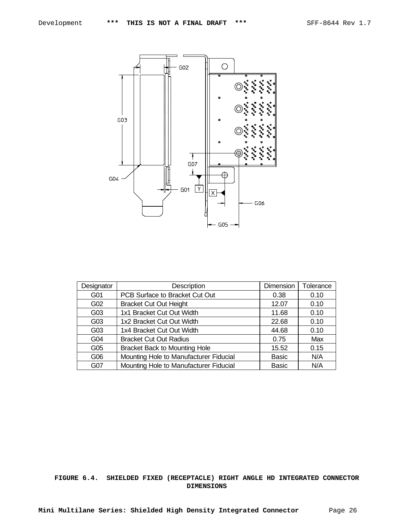

| Designator      | Description                            | Dimension    | Tolerance |
|-----------------|----------------------------------------|--------------|-----------|
| G01             | PCB Surface to Bracket Cut Out         | 0.38         | 0.10      |
| G02             | <b>Bracket Cut Out Height</b>          | 12.07        | 0.10      |
| G03             | 1x1 Bracket Cut Out Width              | 11.68        | 0.10      |
| G03             | 1x2 Bracket Cut Out Width              | 22.68        | 0.10      |
| G03             | 1x4 Bracket Cut Out Width              | 44.68        | 0.10      |
| G <sub>04</sub> | <b>Bracket Cut Out Radius</b>          | 0.75         | Max       |
| G05             | <b>Bracket Back to Mounting Hole</b>   | 15.52        | 0.15      |
| G06             | Mounting Hole to Manufacturer Fiducial | <b>Basic</b> | N/A       |
| G07             | Mounting Hole to Manufacturer Fiducial | <b>Basic</b> | N/A       |

# **FIGURE 6.4. SHIELDED FIXED (RECEPTACLE) RIGHT ANGLE HD INTEGRATED CONNECTOR DIMENSIONS**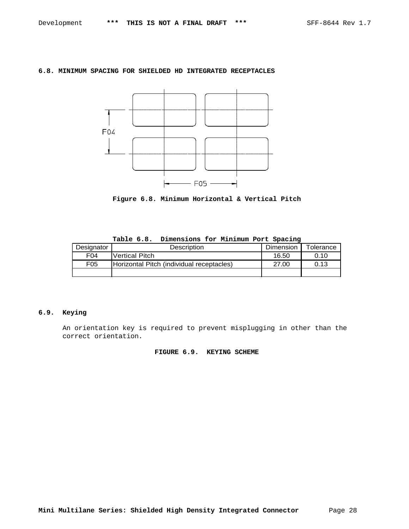## **6.8. MINIMUM SPACING FOR SHIELDED HD INTEGRATED RECEPTACLES**



**Figure 6.8. Minimum Horizontal & Vertical Pitch**

| Designator      | <b>Description</b>                        | Dimension | Tolerance |
|-----------------|-------------------------------------------|-----------|-----------|
| F <sub>04</sub> | <b>Nertical Pitch</b>                     | 16.50     | 0.10      |
| F05             | Horizontal Pitch (individual receptacles) | 27.00     | 0.13      |
|                 |                                           |           |           |

**Table 6.8. Dimensions for Minimum Port Spacing**

## **6.9. Keying**

An orientation key is required to prevent misplugging in other than the correct orientation.

## **FIGURE 6.9. KEYING SCHEME**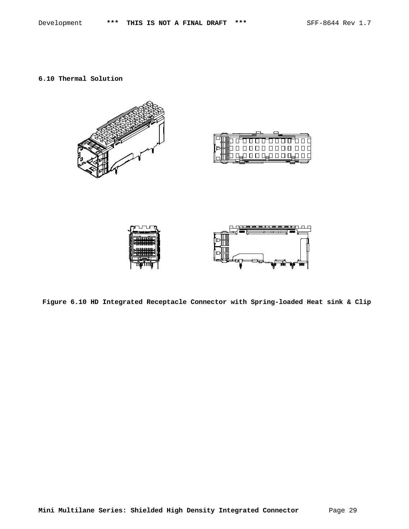**6.10 Thermal Solution**



**Figure 6.10 HD Integrated Receptacle Connector with Spring-loaded Heat sink & Clip**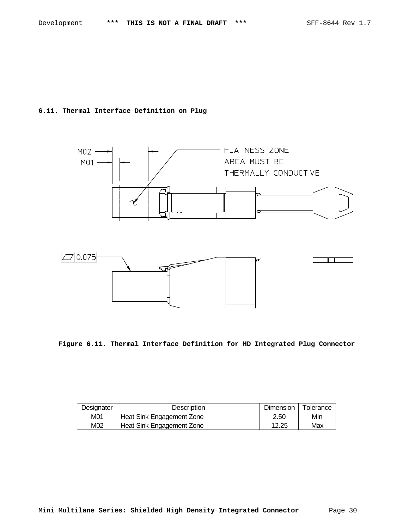## **6.11. Thermal Interface Definition on Plug**





**Figure 6.11. Thermal Interface Definition for HD Integrated Plug Connector**

| Designator | Description               | Dimension | Tolerance |
|------------|---------------------------|-----------|-----------|
| M01        | Heat Sink Engagement Zone | 2.50      | Min       |
| M02        | Heat Sink Engagement Zone | 12.25     | Max       |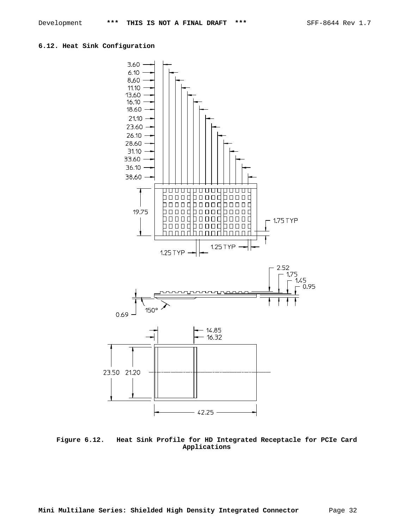### **6.12. Heat Sink Configuration**



**Figure 6.12. Heat Sink Profile for HD Integrated Receptacle for PCIe Card Applications**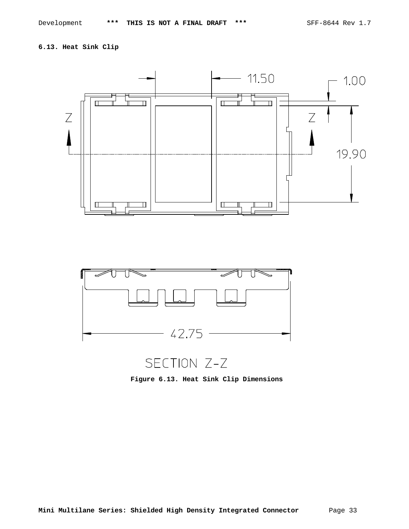# **6.13. Heat Sink Clip**





SECTION Z-Z

**Figure 6.13. Heat Sink Clip Dimensions**